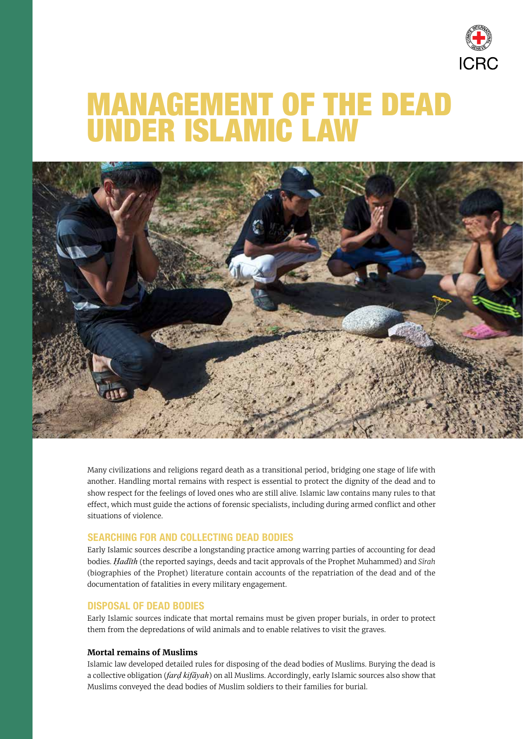

# MANAGEMENT OF THE DEAD UNDER ISLAMIC LAW



Many civilizations and religions regard death as a transitional period, bridging one stage of life with another. Handling mortal remains with respect is essential to protect the dignity of the dead and to show respect for the feelings of loved ones who are still alive. Islamic law contains many rules to that effect, which must guide the actions of forensic specialists, including during armed conflict and other situations of violence.

## SEARCHING FOR AND COLLECTING DEAD BODIES

Early Islamic sources describe a longstanding practice among warring parties of accounting for dead bodies. *Ḥadīth* (the reported sayings, deeds and tacit approvals of the Prophet Muhammed) and *Sīrah* (biographies of the Prophet) literature contain accounts of the repatriation of the dead and of the documentation of fatalities in every military engagement.

## DISPOSAL OF DEAD BODIES

Early Islamic sources indicate that mortal remains must be given proper burials, in order to protect them from the depredations of wild animals and to enable relatives to visit the graves.

#### **Mortal remains of Muslims**

Islamic law developed detailed rules for disposing of the dead bodies of Muslims. Burying the dead is a collective obligation (*farḍ kifāyah*) on all Muslims. Accordingly, early Islamic sources also show that Muslims conveyed the dead bodies of Muslim soldiers to their families for burial.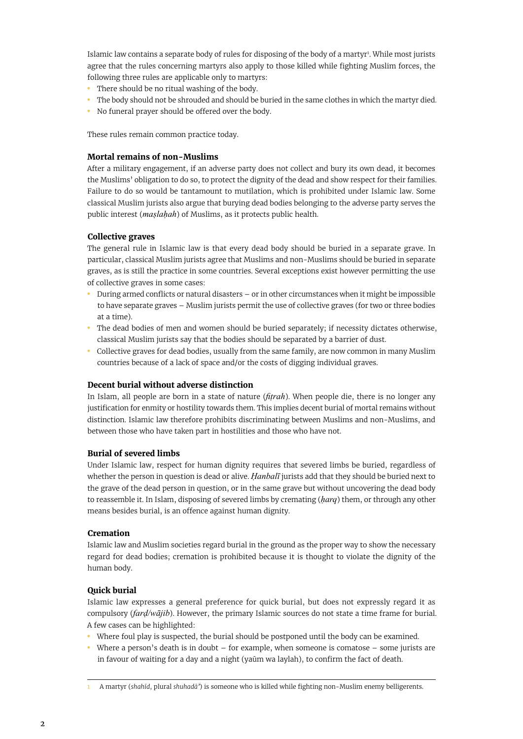Islamic law contains a separate body of rules for disposing of the body of a martyr<sup>1</sup>. While most jurists agree that the rules concerning martyrs also apply to those killed while fighting Muslim forces, the following three rules are applicable only to martyrs:

- There should be no ritual washing of the body.
- The body should not be shrouded and should be buried in the same clothes in which the martyr died.
- No funeral prayer should be offered over the body.

These rules remain common practice today.

#### **Mortal remains of non-Muslims**

After a military engagement, if an adverse party does not collect and bury its own dead, it becomes the Muslims' obligation to do so, to protect the dignity of the dead and show respect for their families. Failure to do so would be tantamount to mutilation, which is prohibited under Islamic law. Some classical Muslim jurists also argue that burying dead bodies belonging to the adverse party serves the public interest (*maslahah*) of Muslims, as it protects public health.

#### **Collective graves**

The general rule in Islamic law is that every dead body should be buried in a separate grave. In particular, classical Muslim jurists agree that Muslims and non-Muslims should be buried in separate graves, as is still the practice in some countries. Several exceptions exist however permitting the use of collective graves in some cases:

- During armed conflicts or natural disasters or in other circumstances when it might be impossible to have separate graves – Muslim jurists permit the use of collective graves (for two or three bodies at a time).
- The dead bodies of men and women should be buried separately; if necessity dictates otherwise, classical Muslim jurists say that the bodies should be separated by a barrier of dust.
- Collective graves for dead bodies, usually from the same family, are now common in many Muslim countries because of a lack of space and/or the costs of digging individual graves.

#### **Decent burial without adverse distinction**

In Islam, all people are born in a state of nature (*fiṭrah*). When people die, there is no longer any justification for enmity or hostility towards them. This implies decent burial of mortal remains without distinction. Islamic law therefore prohibits discriminating between Muslims and non-Muslims, and between those who have taken part in hostilities and those who have not.

#### **Burial of severed limbs**

Under Islamic law, respect for human dignity requires that severed limbs be buried, regardless of whether the person in question is dead or alive. *Ḥanbalī* jurists add that they should be buried next to the grave of the dead person in question, or in the same grave but without uncovering the dead body to reassemble it. In Islam, disposing of severed limbs by cremating (*ḥarq*) them, or through any other means besides burial, is an offence against human dignity.

#### **Cremation**

Islamic law and Muslim societies regard burial in the ground as the proper way to show the necessary regard for dead bodies; cremation is prohibited because it is thought to violate the dignity of the human body.

## **Quick burial**

Islamic law expresses a general preference for quick burial, but does not expressly regard it as compulsory (*farḍ/wājib*). However, the primary Islamic sources do not state a time frame for burial. A few cases can be highlighted:

- Where foul play is suspected, the burial should be postponed until the body can be examined.
- Where a person's death is in doubt for example, when someone is comatose some jurists are in favour of waiting for a day and a night (yaūm wa laylah), to confirm the fact of death.

<sup>1</sup> A martyr (*shahīd*, plural *shuhadā'*) is someone who is killed while fighting non-Muslim enemy belligerents.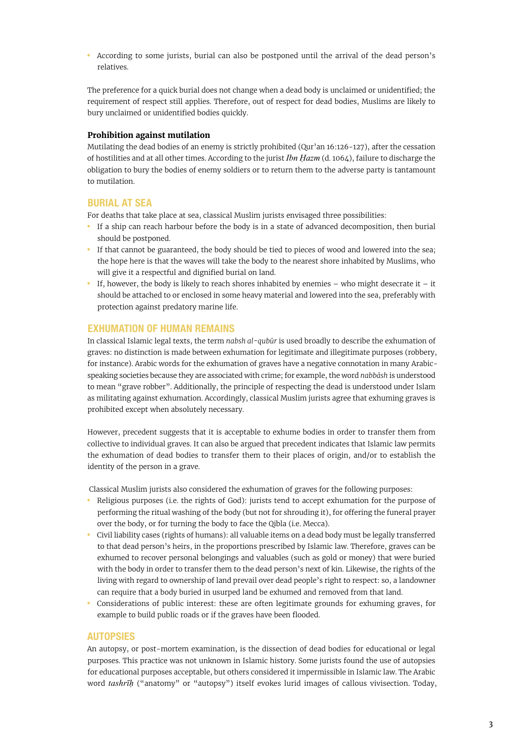• According to some jurists, burial can also be postponed until the arrival of the dead person's relatives.

The preference for a quick burial does not change when a dead body is unclaimed or unidentified; the requirement of respect still applies. Therefore, out of respect for dead bodies, Muslims are likely to bury unclaimed or unidentified bodies quickly.

#### **Prohibition against mutilation**

Mutilating the dead bodies of an enemy is strictly prohibited (Qur'an 16:126-127), after the cessation of hostilities and at all other times. According to the jurist *Ibn Ḥazm* (d. 1064), failure to discharge the obligation to bury the bodies of enemy soldiers or to return them to the adverse party is tantamount to mutilation.

## BURIAL AT SEA

For deaths that take place at sea, classical Muslim jurists envisaged three possibilities:

- If a ship can reach harbour before the body is in a state of advanced decomposition, then burial should be postponed.
- If that cannot be guaranteed, the body should be tied to pieces of wood and lowered into the sea; the hope here is that the waves will take the body to the nearest shore inhabited by Muslims, who will give it a respectful and dignified burial on land.
- If, however, the body is likely to reach shores inhabited by enemies  $-$  who might desecrate it  $-$  it should be attached to or enclosed in some heavy material and lowered into the sea, preferably with protection against predatory marine life.

## EXHUMATION OF HUMAN REMAINS

In classical Islamic legal texts, the term *nabsh al-qubūr* is used broadly to describe the exhumation of graves: no distinction is made between exhumation for legitimate and illegitimate purposes (robbery, for instance). Arabic words for the exhumation of graves have a negative connotation in many Arabicspeaking societies because they are associated with crime; for example, the word *nabbāsh* is understood to mean "grave robber". Additionally, the principle of respecting the dead is understood under Islam as militating against exhumation. Accordingly, classical Muslim jurists agree that exhuming graves is prohibited except when absolutely necessary.

However, precedent suggests that it is acceptable to exhume bodies in order to transfer them from collective to individual graves. It can also be argued that precedent indicates that Islamic law permits the exhumation of dead bodies to transfer them to their places of origin, and/or to establish the identity of the person in a grave.

Classical Muslim jurists also considered the exhumation of graves for the following purposes:

- Religious purposes (i.e. the rights of God): jurists tend to accept exhumation for the purpose of performing the ritual washing of the body (but not for shrouding it), for offering the funeral prayer over the body, or for turning the body to face the Qibla (i.e. Mecca).
- Civil liability cases (rights of humans): all valuable items on a dead body must be legally transferred to that dead person's heirs, in the proportions prescribed by Islamic law. Therefore, graves can be exhumed to recover personal belongings and valuables (such as gold or money) that were buried with the body in order to transfer them to the dead person's next of kin. Likewise, the rights of the living with regard to ownership of land prevail over dead people's right to respect: so, a landowner can require that a body buried in usurped land be exhumed and removed from that land.
- Considerations of public interest: these are often legitimate grounds for exhuming graves, for example to build public roads or if the graves have been flooded.

#### AUTOPSIES

An autopsy, or post-mortem examination, is the dissection of dead bodies for educational or legal purposes. This practice was not unknown in Islamic history. Some jurists found the use of autopsies for educational purposes acceptable, but others considered it impermissible in Islamic law. The Arabic word *tashrīḥ* ("anatomy" or "autopsy") itself evokes lurid images of callous vivisection. Today,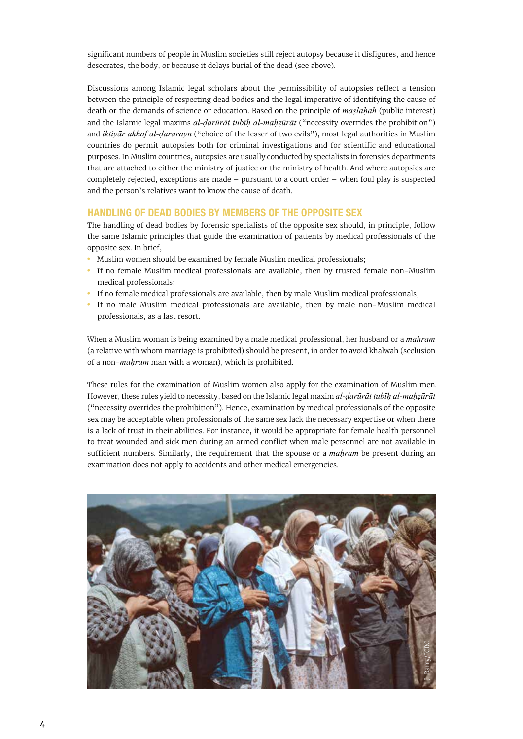significant numbers of people in Muslim societies still reject autopsy because it disfigures, and hence desecrates, the body, or because it delays burial of the dead (see above).

Discussions among Islamic legal scholars about the permissibility of autopsies reflect a tension between the principle of respecting dead bodies and the legal imperative of identifying the cause of death or the demands of science or education. Based on the principle of *maslahah* (public interest) and the Islamic legal maxims *al-ḍarūrāt tubīḥ al-maḥẓūrāt* ("necessity overrides the prohibition") and *iktiyār akhaf al-ḍararayn* ("choice of the lesser of two evils"), most legal authorities in Muslim countries do permit autopsies both for criminal investigations and for scientific and educational purposes. In Muslim countries, autopsies are usually conducted by specialists in forensics departments that are attached to either the ministry of justice or the ministry of health. And where autopsies are completely rejected, exceptions are made – pursuant to a court order – when foul play is suspected and the person's relatives want to know the cause of death.

## HANDLING OF DEAD BODIES BY MEMBERS OF THE OPPOSITE SEX

The handling of dead bodies by forensic specialists of the opposite sex should, in principle, follow the same Islamic principles that guide the examination of patients by medical professionals of the opposite sex. In brief,

- Muslim women should be examined by female Muslim medical professionals;
- If no female Muslim medical professionals are available, then by trusted female non-Muslim medical professionals;
- If no female medical professionals are available, then by male Muslim medical professionals;
- If no male Muslim medical professionals are available, then by male non-Muslim medical professionals, as a last resort.

When a Muslim woman is being examined by a male medical professional, her husband or a *maḥram* (a relative with whom marriage is prohibited) should be present, in order to avoid khalwah (seclusion of a non*-maḥram* man with a woman), which is prohibited.

These rules for the examination of Muslim women also apply for the examination of Muslim men. However, these rules yield to necessity, based on the Islamic legal maxim *al-ḍarūrāt tubīḥ al-maḥẓūrāt* ("necessity overrides the prohibition"). Hence, examination by medical professionals of the opposite sex may be acceptable when professionals of the same sex lack the necessary expertise or when there is a lack of trust in their abilities. For instance, it would be appropriate for female health personnel to treat wounded and sick men during an armed conflict when male personnel are not available in sufficient numbers. Similarly, the requirement that the spouse or a *mahram* be present during an examination does not apply to accidents and other medical emergencies.